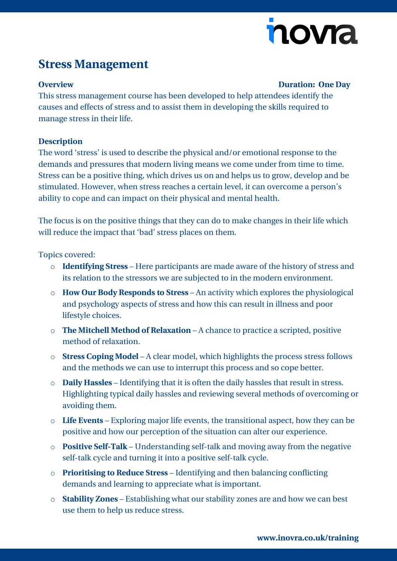# novia

## **Stress Management**

#### **Overview Duration: One Day**

This stress management course has been developed to help attendees identify the causes and effects of stress and to assist them in developing the skills required to manage stress in their life.

### **Description**

The word 'stress' is used to describe the physical and/or emotional response to the demands and pressures that modern living means we come under from time to time. Stress can be a positive thing, which drives us on and helps us to grow, develop and be stimulated. However, when stress reaches a certain level, it can overcome a person's ability to cope and can impact on their physical and mental health.

The focus is on the positive things that they can do to make changes in their life which will reduce the impact that 'bad' stress places on them.

Topics covered:

- o **Identifying Stress** Here participants are made aware of the history of stress and its relation to the stressors we are subjected to in the modern environment.
- o **How Our Body Responds to Stress** An activity which explores the physiological and psychology aspects of stress and how this can result in illness and poor lifestyle choices.
- o **The Mitchell Method of Relaxation** A chance to practice a scripted, positive method of relaxation.
- o **Stress Coping Model** A clear model, which highlights the process stress follows and the methods we can use to interrupt this process and so cope better.
- o **Daily Hassles** Identifying that it is often the daily hassles that result in stress. Highlighting typical daily hassles and reviewing several methods of overcoming or avoiding them.
- o **Life Events** Exploring major life events, the transitional aspect, how they can be positive and how our perception of the situation can alter our experience.
- o **Positive Self-Talk** Understanding self-talk and moving away from the negative self-talk cycle and turning it into a positive self-talk cycle.
- o **Prioritising to Reduce Stress** Identifying and then balancing conflicting demands and learning to appreciate what is important.
- o **Stability Zones** Establishing what our stability zones are and how we can best use them to help us reduce stress.